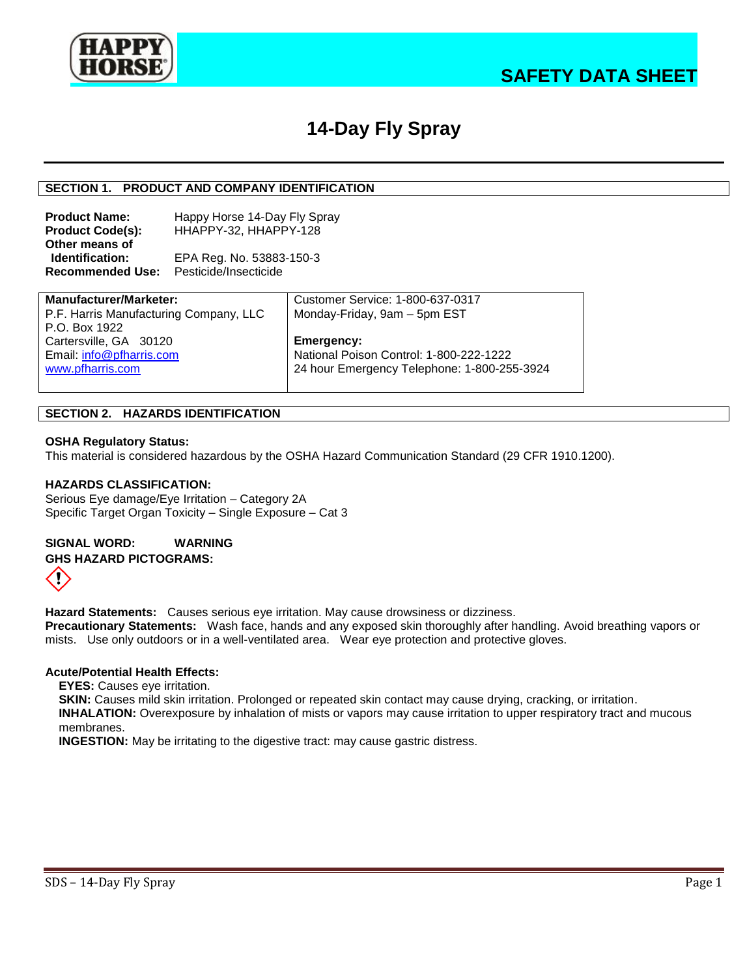

# **14-Day Fly Spray**

## **SECTION 1. PRODUCT AND COMPANY IDENTIFICATION**

**Product Name:** Happy Horse 14-Day Fly Spray **Product Code(s):** HHAPPY-32, HHAPPY-128 **Other means of Identification:** EPA Reg. No. 53883-150-3 **Recommended Use:** Pesticide/Insecticide

| <b>Manufacturer/Marketer:</b>          | Customer Service: 1-800-637-0317            |
|----------------------------------------|---------------------------------------------|
| P.F. Harris Manufacturing Company, LLC | Monday-Friday, 9am - 5pm EST                |
| P.O. Box 1922                          |                                             |
| Cartersville, GA 30120                 | Emergency:                                  |
| Email: info@pfharris.com               | National Poison Control: 1-800-222-1222     |
| www.pfharris.com                       | 24 hour Emergency Telephone: 1-800-255-3924 |
|                                        |                                             |

#### **SECTION 2. HAZARDS IDENTIFICATION**

#### **OSHA Regulatory Status:**

This material is considered hazardous by the OSHA Hazard Communication Standard (29 CFR 1910.1200).

#### **HAZARDS CLASSIFICATION:**

Serious Eye damage/Eye Irritation – Category 2A Specific Target Organ Toxicity – Single Exposure – Cat 3

**SIGNAL WORD: WARNING GHS HAZARD PICTOGRAMS:**  Ţ

**Hazard Statements:** Causes serious eye irritation. May cause drowsiness or dizziness. **Precautionary Statements:** Wash face, hands and any exposed skin thoroughly after handling. Avoid breathing vapors or mists. Use only outdoors or in a well-ventilated area. Wear eye protection and protective gloves.

#### **Acute/Potential Health Effects:**

**EYES:** Causes eye irritation.

**SKIN:** Causes mild skin irritation. Prolonged or repeated skin contact may cause drying, cracking, or irritation.

**INHALATION:** Overexposure by inhalation of mists or vapors may cause irritation to upper respiratory tract and mucous membranes.

**INGESTION:** May be irritating to the digestive tract: may cause gastric distress.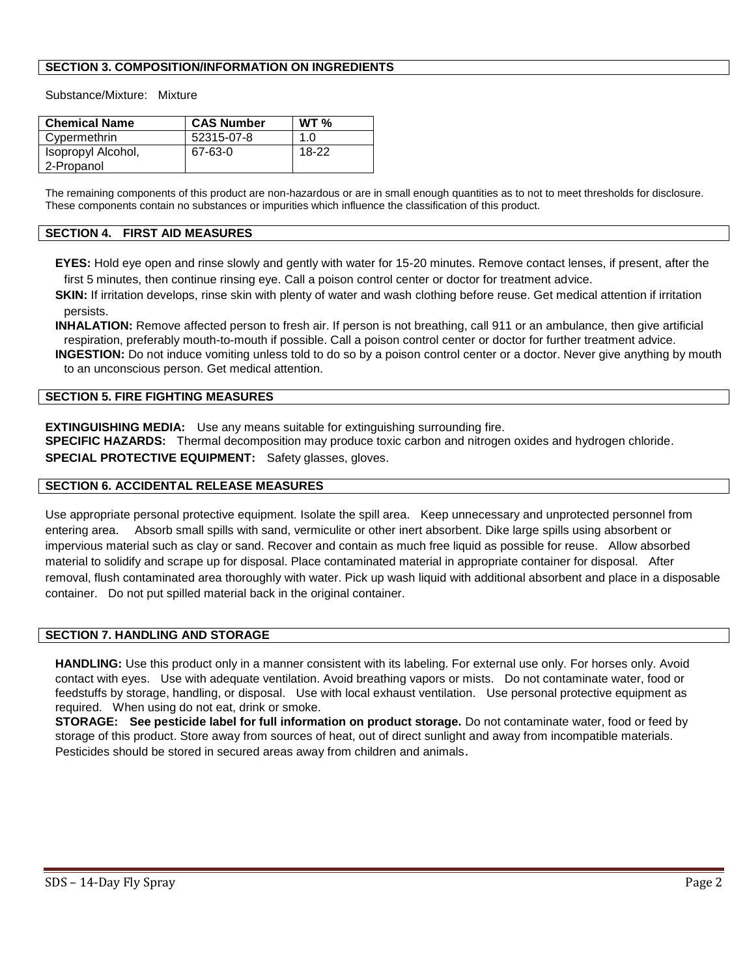## **SECTION 3. COMPOSITION/INFORMATION ON INGREDIENTS**

Substance/Mixture: Mixture

| <b>Chemical Name</b>             | <b>CAS Number</b> | WT <sub>96</sub> |
|----------------------------------|-------------------|------------------|
| Cypermethrin                     | 52315-07-8        | 1.0              |
| Isopropyl Alcohol,<br>2-Propanol | 67-63-0           | 18-22            |

The remaining components of this product are non-hazardous or are in small enough quantities as to not to meet thresholds for disclosure. These components contain no substances or impurities which influence the classification of this product.

## **SECTION 4. FIRST AID MEASURES**

**EYES:** Hold eye open and rinse slowly and gently with water for 15-20 minutes. Remove contact lenses, if present, after the first 5 minutes, then continue rinsing eye. Call a poison control center or doctor for treatment advice.

**SKIN:** If irritation develops, rinse skin with plenty of water and wash clothing before reuse. Get medical attention if irritation persists.

**INHALATION:** Remove affected person to fresh air. If person is not breathing, call 911 or an ambulance, then give artificial respiration, preferably mouth-to-mouth if possible. Call a poison control center or doctor for further treatment advice. **INGESTION:** Do not induce vomiting unless told to do so by a poison control center or a doctor. Never give anything by mouth to an unconscious person. Get medical attention.

## **SECTION 5. FIRE FIGHTING MEASURES**

**EXTINGUISHING MEDIA:** Use any means suitable for extinguishing surrounding fire.

**SPECIFIC HAZARDS:** Thermal decomposition may produce toxic carbon and nitrogen oxides and hydrogen chloride. **SPECIAL PROTECTIVE EQUIPMENT:** Safety glasses, gloves.

# **SECTION 6. ACCIDENTAL RELEASE MEASURES**

Use appropriate personal protective equipment. Isolate the spill area. Keep unnecessary and unprotected personnel from entering area. Absorb small spills with sand, vermiculite or other inert absorbent. Dike large spills using absorbent or impervious material such as clay or sand. Recover and contain as much free liquid as possible for reuse. Allow absorbed material to solidify and scrape up for disposal. Place contaminated material in appropriate container for disposal. After removal, flush contaminated area thoroughly with water. Pick up wash liquid with additional absorbent and place in a disposable container. Do not put spilled material back in the original container.

## **SECTION 7. HANDLING AND STORAGE**

**HANDLING:** Use this product only in a manner consistent with its labeling. For external use only. For horses only. Avoid contact with eyes. Use with adequate ventilation. Avoid breathing vapors or mists. Do not contaminate water, food or feedstuffs by storage, handling, or disposal. Use with local exhaust ventilation. Use personal protective equipment as required. When using do not eat, drink or smoke.

**STORAGE: See pesticide label for full information on product storage.** Do not contaminate water, food or feed by storage of this product. Store away from sources of heat, out of direct sunlight and away from incompatible materials. Pesticides should be stored in secured areas away from children and animals.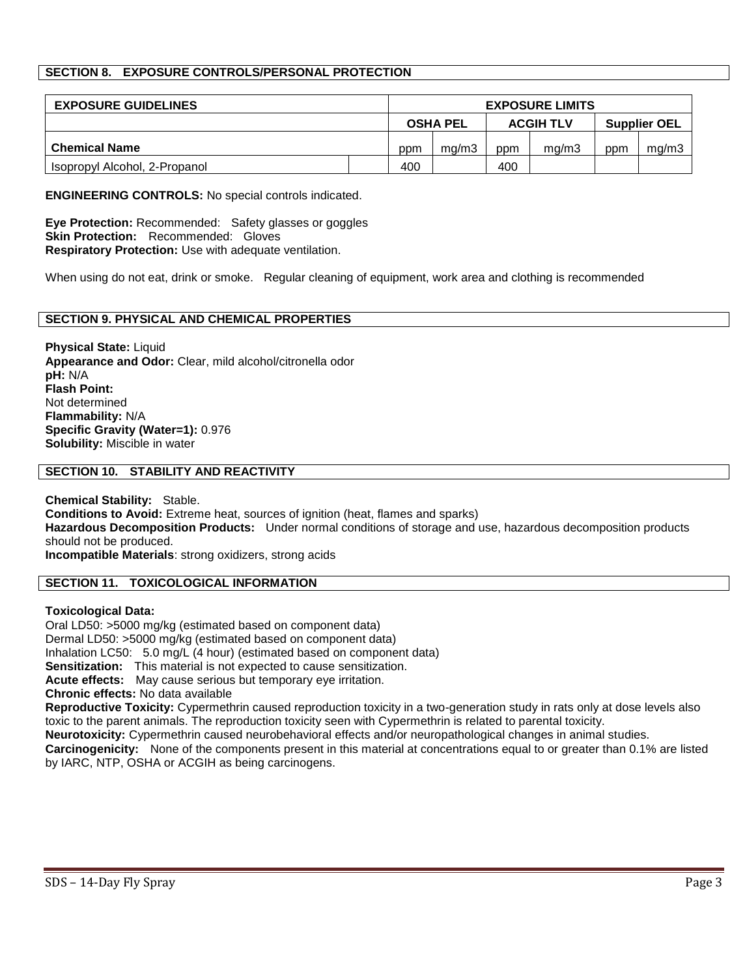# **SECTION 8. EXPOSURE CONTROLS/PERSONAL PROTECTION**

| <b>EXPOSURE GUIDELINES</b>    | <b>EXPOSURE LIMITS</b>              |       |                     |       |     |       |
|-------------------------------|-------------------------------------|-------|---------------------|-------|-----|-------|
|                               | <b>OSHA PEL</b><br><b>ACGIH TLV</b> |       | <b>Supplier OEL</b> |       |     |       |
| <b>Chemical Name</b>          | ppm                                 | ma/m3 | ppm                 | ma/m3 | ppm | ma/m3 |
| Isopropyl Alcohol, 2-Propanol | 400                                 |       | 400                 |       |     |       |

**ENGINEERING CONTROLS:** No special controls indicated.

**Eye Protection:** Recommended: Safety glasses or goggles **Skin Protection:** Recommended: Gloves **Respiratory Protection:** Use with adequate ventilation.

When using do not eat, drink or smoke. Regular cleaning of equipment, work area and clothing is recommended

## **SECTION 9. PHYSICAL AND CHEMICAL PROPERTIES**

**Physical State:** Liquid **Appearance and Odor:** Clear, mild alcohol/citronella odor **pH:** N/A **Flash Point:** Not determined **Flammability:** N/A **Specific Gravity (Water=1):** 0.976 **Solubility:** Miscible in water

#### **SECTION 10. STABILITY AND REACTIVITY**

**Chemical Stability:** Stable. **Conditions to Avoid:** Extreme heat, sources of ignition (heat, flames and sparks) **Hazardous Decomposition Products:** Under normal conditions of storage and use, hazardous decomposition products should not be produced. **Incompatible Materials**: strong oxidizers, strong acids

## **SECTION 11. TOXICOLOGICAL INFORMATION**

#### **Toxicological Data:**

Oral LD50: >5000 mg/kg (estimated based on component data) Dermal LD50: >5000 mg/kg (estimated based on component data) Inhalation LC50: 5.0 mg/L (4 hour) (estimated based on component data) **Sensitization:** This material is not expected to cause sensitization. **Acute effects:** May cause serious but temporary eye irritation. **Chronic effects:** No data available

**Reproductive Toxicity:** Cypermethrin caused reproduction toxicity in a two-generation study in rats only at dose levels also toxic to the parent animals. The reproduction toxicity seen with Cypermethrin is related to parental toxicity.

**Neurotoxicity:** Cypermethrin caused neurobehavioral effects and/or neuropathological changes in animal studies.

**Carcinogenicity:** None of the components present in this material at concentrations equal to or greater than 0.1% are listed by IARC, NTP, OSHA or ACGIH as being carcinogens.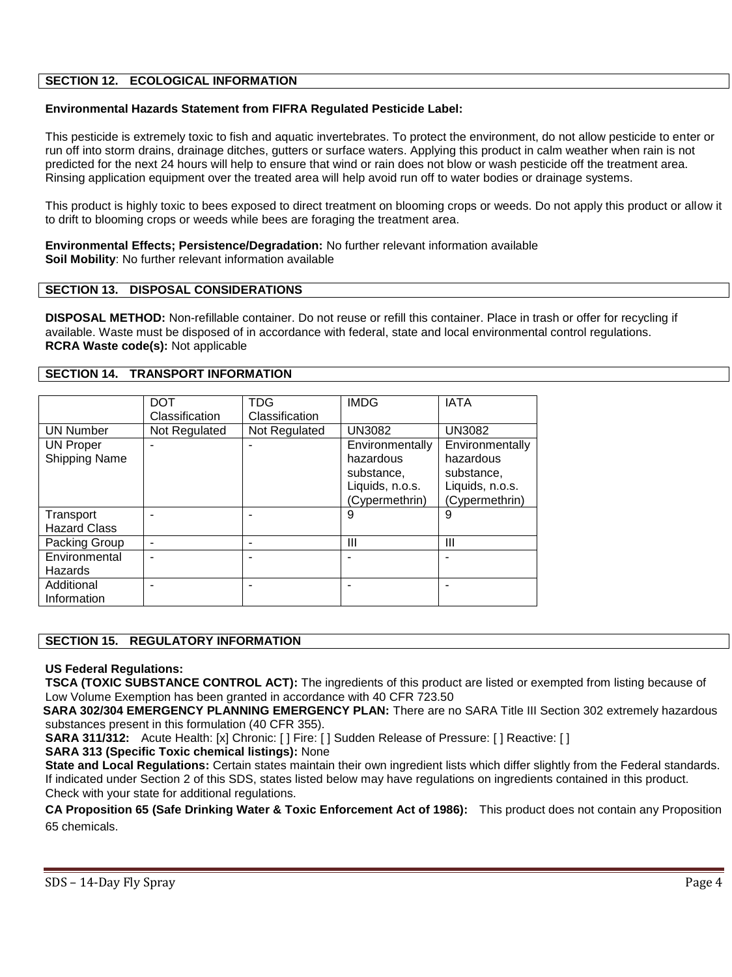## **SECTION 12. ECOLOGICAL INFORMATION**

## **Environmental Hazards Statement from FIFRA Regulated Pesticide Label:**

This pesticide is extremely toxic to fish and aquatic invertebrates. To protect the environment, do not allow pesticide to enter or run off into storm drains, drainage ditches, gutters or surface waters. Applying this product in calm weather when rain is not predicted for the next 24 hours will help to ensure that wind or rain does not blow or wash pesticide off the treatment area. Rinsing application equipment over the treated area will help avoid run off to water bodies or drainage systems.

This product is highly toxic to bees exposed to direct treatment on blooming crops or weeds. Do not apply this product or allow it to drift to blooming crops or weeds while bees are foraging the treatment area.

**Environmental Effects; Persistence/Degradation:** No further relevant information available **Soil Mobility**: No further relevant information available

#### **SECTION 13. DISPOSAL CONSIDERATIONS**

**DISPOSAL METHOD:** Non-refillable container. Do not reuse or refill this container. Place in trash or offer for recycling if available. Waste must be disposed of in accordance with federal, state and local environmental control regulations. **RCRA Waste code(s):** Not applicable

## **SECTION 14. TRANSPORT INFORMATION**

|                                          | <b>DOT</b><br>Classification | TDG<br>Classification | <b>IMDG</b>                                                                     | <b>IATA</b>                                                                     |
|------------------------------------------|------------------------------|-----------------------|---------------------------------------------------------------------------------|---------------------------------------------------------------------------------|
| <b>UN Number</b>                         | Not Regulated                | Not Regulated         | <b>UN3082</b>                                                                   | <b>UN3082</b>                                                                   |
| <b>UN Proper</b><br><b>Shipping Name</b> |                              |                       | Environmentally<br>hazardous<br>substance,<br>Liquids, n.o.s.<br>(Cypermethrin) | Environmentally<br>hazardous<br>substance,<br>Liquids, n.o.s.<br>(Cypermethrin) |
| Transport<br><b>Hazard Class</b>         |                              |                       | 9                                                                               | 9                                                                               |
| Packing Group                            |                              |                       | Ш                                                                               | Ш                                                                               |
| Environmental<br>Hazards                 |                              |                       |                                                                                 |                                                                                 |
| Additional<br>Information                |                              |                       |                                                                                 |                                                                                 |

#### **SECTION 15. REGULATORY INFORMATION**

#### **US Federal Regulations:**

**TSCA (TOXIC SUBSTANCE CONTROL ACT):** The ingredients of this product are listed or exempted from listing because of Low Volume Exemption has been granted in accordance with 40 CFR 723.50

 **SARA 302/304 EMERGENCY PLANNING EMERGENCY PLAN:** There are no SARA Title III Section 302 extremely hazardous substances present in this formulation (40 CFR 355).

**SARA 311/312:** Acute Health: [x] Chronic: [ ] Fire: [ ] Sudden Release of Pressure: [ ] Reactive: [ ]

**SARA 313 (Specific Toxic chemical listings):** None

**State and Local Regulations:** Certain states maintain their own ingredient lists which differ slightly from the Federal standards. If indicated under Section 2 of this SDS, states listed below may have regulations on ingredients contained in this product. Check with your state for additional regulations.

**CA Proposition 65 (Safe Drinking Water & Toxic Enforcement Act of 1986):** This product does not contain any Proposition 65 chemicals.